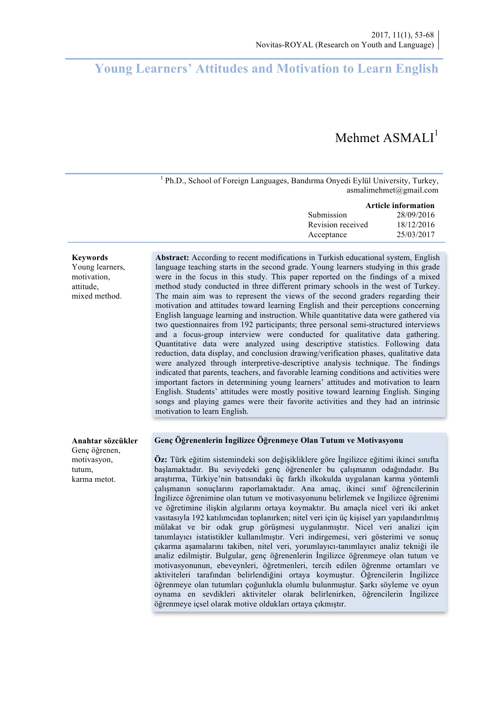# **Young Learners' Attitudes and Motivation to Learn English**

# Mehmet  $$

 $1$  Ph.D., School of Foreign Languages, Bandırma Onyedi Eylül University, Turkey, asmalimehmet@gmail.com

|                   | Article information |
|-------------------|---------------------|
| Submission        | 28/09/2016          |
| Revision received | 18/12/2016          |
| Acceptance        | 25/03/2017          |

#### **Keywords**

Young learners, motivation, attitude, mixed method.

**Abstract:** According to recent modifications in Turkish educational system, English language teaching starts in the second grade. Young learners studying in this grade were in the focus in this study. This paper reported on the findings of a mixed method study conducted in three different primary schools in the west of Turkey. The main aim was to represent the views of the second graders regarding their motivation and attitudes toward learning English and their perceptions concerning English language learning and instruction. While quantitative data were gathered via two questionnaires from 192 participants; three personal semi-structured interviews and a focus-group interview were conducted for qualitative data gathering. Quantitative data were analyzed using descriptive statistics. Following data reduction, data display, and conclusion drawing/verification phases, qualitative data were analyzed through interpretive-descriptive analysis technique. The findings indicated that parents, teachers, and favorable learning conditions and activities were important factors in determining young learners' attitudes and motivation to learn English. Students' attitudes were mostly positive toward learning English. Singing songs and playing games were their favorite activities and they had an intrinsic motivation to learn English.

#### **Anahtar sözcükler**

Genç öğrenen, motivasyon, tutum, karma metot.

#### **Genç Öğrenenlerin İngilizce Öğrenmeye Olan Tutum ve Motivasyonu**

**Öz:** Türk eğitim sistemindeki son değişikliklere göre İngilizce eğitimi ikinci sınıfta başlamaktadır. Bu seviyedeki genç öğrenenler bu çalışmanın odağındadır. Bu araştırma, Türkiye'nin batısındaki üç farklı ilkokulda uygulanan karma yöntemli çalışmanın sonuçlarını raporlamaktadır. Ana amaç, ikinci sınıf öğrencilerinin İngilizce öğrenimine olan tutum ve motivasyonunu belirlemek ve İngilizce öğrenimi ve öğretimine ilişkin algılarını ortaya koymaktır. Bu amaçla nicel veri iki anket vasıtasıyla 192 katılımcıdan toplanırken; nitel veri için üç kişisel yarı yapılandırılmış mülakat ve bir odak grup görüşmesi uygulanmıştır. Nicel veri analizi için tanımlayıcı istatistikler kullanılmıştır. Veri indirgemesi, veri gösterimi ve sonuç çıkarma aşamalarını takiben, nitel veri, yorumlayıcı-tanımlayıcı analiz tekniği ile analiz edilmiştir. Bulgular, genç öğrenenlerin İngilizce öğrenmeye olan tutum ve motivasyonunun, ebeveynleri, öğretmenleri, tercih edilen öğrenme ortamları ve aktiviteleri tarafından belirlendiğini ortaya koymuştur. Öğrencilerin İngilizce öğrenmeye olan tutumları çoğunlukla olumlu bulunmuştur. Şarkı söyleme ve oyun oynama en sevdikleri aktiviteler olarak belirlenirken, öğrencilerin İngilizce öğrenmeye içsel olarak motive oldukları ortaya çıkmıştır.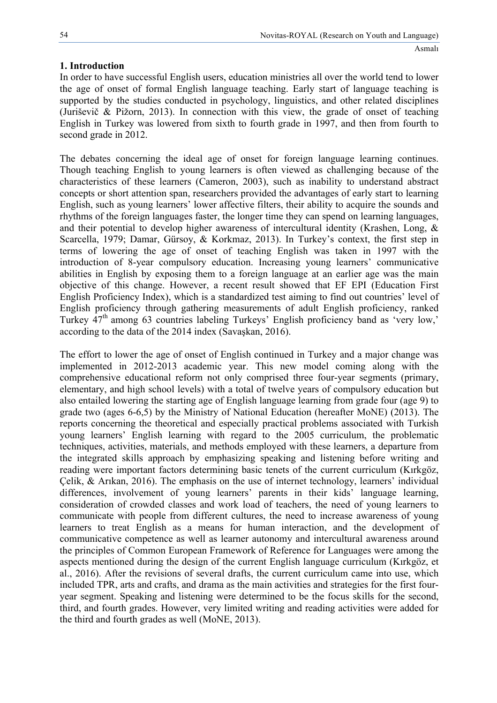# **1. Introduction**

In order to have successful English users, education ministries all over the world tend to lower the age of onset of formal English language teaching. Early start of language teaching is supported by the studies conducted in psychology, linguistics, and other related disciplines (Juriševič & Pižorn, 2013). In connection with this view, the grade of onset of teaching English in Turkey was lowered from sixth to fourth grade in 1997, and then from fourth to second grade in 2012.

The debates concerning the ideal age of onset for foreign language learning continues. Though teaching English to young learners is often viewed as challenging because of the characteristics of these learners (Cameron, 2003), such as inability to understand abstract concepts or short attention span, researchers provided the advantages of early start to learning English, such as young learners' lower affective filters, their ability to acquire the sounds and rhythms of the foreign languages faster, the longer time they can spend on learning languages, and their potential to develop higher awareness of intercultural identity (Krashen, Long, & Scarcella, 1979; Damar, Gürsoy, & Korkmaz, 2013). In Turkey's context, the first step in terms of lowering the age of onset of teaching English was taken in 1997 with the introduction of 8-year compulsory education. Increasing young learners' communicative abilities in English by exposing them to a foreign language at an earlier age was the main objective of this change. However, a recent result showed that EF EPI (Education First English Proficiency Index), which is a standardized test aiming to find out countries' level of English proficiency through gathering measurements of adult English proficiency, ranked Turkey 47<sup>th</sup> among 63 countries labeling Turkeys' English proficiency band as 'very low,' according to the data of the 2014 index (Savaşkan, 2016).

The effort to lower the age of onset of English continued in Turkey and a major change was implemented in 2012-2013 academic year. This new model coming along with the comprehensive educational reform not only comprised three four-year segments (primary, elementary, and high school levels) with a total of twelve years of compulsory education but also entailed lowering the starting age of English language learning from grade four (age 9) to grade two (ages 6-6,5) by the Ministry of National Education (hereafter MoNE) (2013). The reports concerning the theoretical and especially practical problems associated with Turkish young learners' English learning with regard to the 2005 curriculum, the problematic techniques, activities, materials, and methods employed with these learners, a departure from the integrated skills approach by emphasizing speaking and listening before writing and reading were important factors determining basic tenets of the current curriculum (Kırkgöz, Çelik, & Arıkan, 2016). The emphasis on the use of internet technology, learners' individual differences, involvement of young learners' parents in their kids' language learning, consideration of crowded classes and work load of teachers, the need of young learners to communicate with people from different cultures, the need to increase awareness of young learners to treat English as a means for human interaction, and the development of communicative competence as well as learner autonomy and intercultural awareness around the principles of Common European Framework of Reference for Languages were among the aspects mentioned during the design of the current English language curriculum (Kırkgöz, et al., 2016). After the revisions of several drafts, the current curriculum came into use, which included TPR, arts and crafts, and drama as the main activities and strategies for the first fouryear segment. Speaking and listening were determined to be the focus skills for the second, third, and fourth grades. However, very limited writing and reading activities were added for the third and fourth grades as well (MoNE, 2013).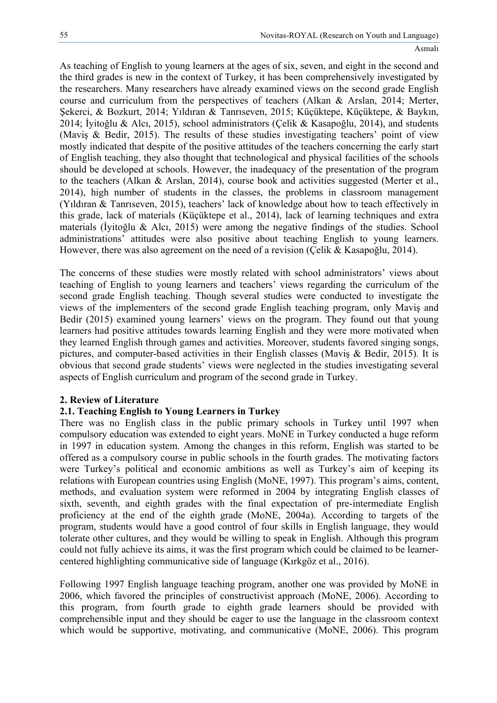As teaching of English to young learners at the ages of six, seven, and eight in the second and the third grades is new in the context of Turkey, it has been comprehensively investigated by the researchers. Many researchers have already examined views on the second grade English course and curriculum from the perspectives of teachers (Alkan & Arslan, 2014; Merter, Şekerci, & Bozkurt, 2014; Yıldıran & Tanrıseven, 2015; Küçüktepe, Küçüktepe, & Baykın, 2014; İyitoğlu & Alcı, 2015), school administrators (Çelik & Kasapoğlu, 2014), and students (Maviş & Bedir, 2015). The results of these studies investigating teachers' point of view mostly indicated that despite of the positive attitudes of the teachers concerning the early start of English teaching, they also thought that technological and physical facilities of the schools should be developed at schools. However, the inadequacy of the presentation of the program to the teachers (Alkan & Arslan, 2014), course book and activities suggested (Merter et al., 2014), high number of students in the classes, the problems in classroom management (Yıldıran & Tanrıseven, 2015), teachers' lack of knowledge about how to teach effectively in this grade, lack of materials (Küçüktepe et al., 2014), lack of learning techniques and extra materials (İyitoğlu & Alcı, 2015) were among the negative findings of the studies. School administrations' attitudes were also positive about teaching English to young learners. However, there was also agreement on the need of a revision (Çelik & Kasapoğlu, 2014).

The concerns of these studies were mostly related with school administrators' views about teaching of English to young learners and teachers' views regarding the curriculum of the second grade English teaching. Though several studies were conducted to investigate the views of the implementers of the second grade English teaching program, only Maviş and Bedir (2015) examined young learners' views on the program. They found out that young learners had positive attitudes towards learning English and they were more motivated when they learned English through games and activities. Moreover, students favored singing songs, pictures, and computer-based activities in their English classes (Maviş & Bedir, 2015). It is obvious that second grade students' views were neglected in the studies investigating several aspects of English curriculum and program of the second grade in Turkey.

# **2. Review of Literature**

# **2.1. Teaching English to Young Learners in Turkey**

There was no English class in the public primary schools in Turkey until 1997 when compulsory education was extended to eight years. MoNE in Turkey conducted a huge reform in 1997 in education system. Among the changes in this reform, English was started to be offered as a compulsory course in public schools in the fourth grades. The motivating factors were Turkey's political and economic ambitions as well as Turkey's aim of keeping its relations with European countries using English (MoNE, 1997). This program's aims, content, methods, and evaluation system were reformed in 2004 by integrating English classes of sixth, seventh, and eighth grades with the final expectation of pre-intermediate English proficiency at the end of the eighth grade (MoNE, 2004a). According to targets of the program, students would have a good control of four skills in English language, they would tolerate other cultures, and they would be willing to speak in English. Although this program could not fully achieve its aims, it was the first program which could be claimed to be learnercentered highlighting communicative side of language (Kırkgöz et al., 2016).

Following 1997 English language teaching program, another one was provided by MoNE in 2006, which favored the principles of constructivist approach (MoNE, 2006). According to this program, from fourth grade to eighth grade learners should be provided with comprehensible input and they should be eager to use the language in the classroom context which would be supportive, motivating, and communicative (MoNE, 2006). This program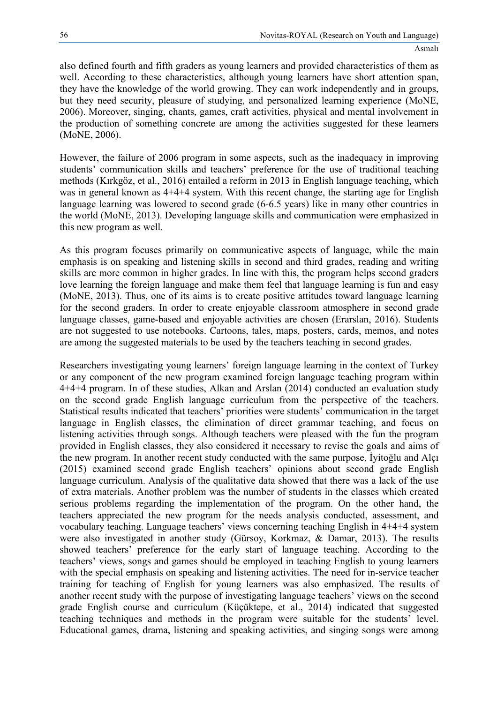also defined fourth and fifth graders as young learners and provided characteristics of them as well. According to these characteristics, although young learners have short attention span, they have the knowledge of the world growing. They can work independently and in groups, but they need security, pleasure of studying, and personalized learning experience (MoNE, 2006). Moreover, singing, chants, games, craft activities, physical and mental involvement in the production of something concrete are among the activities suggested for these learners (MoNE, 2006).

However, the failure of 2006 program in some aspects, such as the inadequacy in improving students' communication skills and teachers' preference for the use of traditional teaching methods (Kırkgöz, et al., 2016) entailed a reform in 2013 in English language teaching, which was in general known as 4+4+4 system. With this recent change, the starting age for English language learning was lowered to second grade (6-6.5 years) like in many other countries in the world (MoNE, 2013). Developing language skills and communication were emphasized in this new program as well.

As this program focuses primarily on communicative aspects of language, while the main emphasis is on speaking and listening skills in second and third grades, reading and writing skills are more common in higher grades. In line with this, the program helps second graders love learning the foreign language and make them feel that language learning is fun and easy (MoNE, 2013). Thus, one of its aims is to create positive attitudes toward language learning for the second graders. In order to create enjoyable classroom atmosphere in second grade language classes, game-based and enjoyable activities are chosen (Erarslan, 2016). Students are not suggested to use notebooks. Cartoons, tales, maps, posters, cards, memos, and notes are among the suggested materials to be used by the teachers teaching in second grades.

Researchers investigating young learners' foreign language learning in the context of Turkey or any component of the new program examined foreign language teaching program within 4+4+4 program. In of these studies, Alkan and Arslan (2014) conducted an evaluation study on the second grade English language curriculum from the perspective of the teachers. Statistical results indicated that teachers' priorities were students' communication in the target language in English classes, the elimination of direct grammar teaching, and focus on listening activities through songs. Although teachers were pleased with the fun the program provided in English classes, they also considered it necessary to revise the goals and aims of the new program. In another recent study conducted with the same purpose, İyitoğlu and Alçı (2015) examined second grade English teachers' opinions about second grade English language curriculum. Analysis of the qualitative data showed that there was a lack of the use of extra materials. Another problem was the number of students in the classes which created serious problems regarding the implementation of the program. On the other hand, the teachers appreciated the new program for the needs analysis conducted, assessment, and vocabulary teaching. Language teachers' views concerning teaching English in 4+4+4 system were also investigated in another study (Gürsoy, Korkmaz, & Damar, 2013). The results showed teachers' preference for the early start of language teaching. According to the teachers' views, songs and games should be employed in teaching English to young learners with the special emphasis on speaking and listening activities. The need for in-service teacher training for teaching of English for young learners was also emphasized. The results of another recent study with the purpose of investigating language teachers' views on the second grade English course and curriculum (Küçüktepe, et al., 2014) indicated that suggested teaching techniques and methods in the program were suitable for the students' level. Educational games, drama, listening and speaking activities, and singing songs were among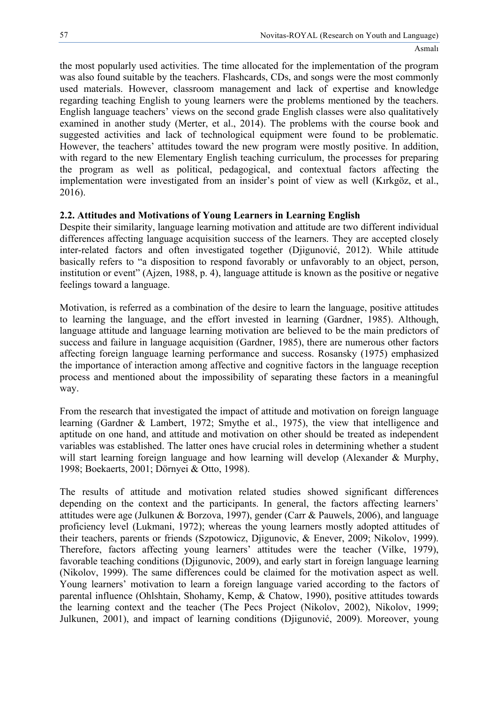the most popularly used activities. The time allocated for the implementation of the program was also found suitable by the teachers. Flashcards, CDs, and songs were the most commonly used materials. However, classroom management and lack of expertise and knowledge regarding teaching English to young learners were the problems mentioned by the teachers. English language teachers' views on the second grade English classes were also qualitatively examined in another study (Merter, et al., 2014). The problems with the course book and suggested activities and lack of technological equipment were found to be problematic. However, the teachers' attitudes toward the new program were mostly positive. In addition, with regard to the new Elementary English teaching curriculum, the processes for preparing the program as well as political, pedagogical, and contextual factors affecting the implementation were investigated from an insider's point of view as well (Kırkgöz, et al., 2016).

# **2.2. Attitudes and Motivations of Young Learners in Learning English**

Despite their similarity, language learning motivation and attitude are two different individual differences affecting language acquisition success of the learners. They are accepted closely inter-related factors and often investigated together (Djigunović, 2012). While attitude basically refers to "a disposition to respond favorably or unfavorably to an object, person, institution or event" (Ajzen, 1988, p. 4), language attitude is known as the positive or negative feelings toward a language.

Motivation, is referred as a combination of the desire to learn the language, positive attitudes to learning the language, and the effort invested in learning (Gardner, 1985). Although, language attitude and language learning motivation are believed to be the main predictors of success and failure in language acquisition (Gardner, 1985), there are numerous other factors affecting foreign language learning performance and success. Rosansky (1975) emphasized the importance of interaction among affective and cognitive factors in the language reception process and mentioned about the impossibility of separating these factors in a meaningful way.

From the research that investigated the impact of attitude and motivation on foreign language learning (Gardner & Lambert, 1972; Smythe et al., 1975), the view that intelligence and aptitude on one hand, and attitude and motivation on other should be treated as independent variables was established. The latter ones have crucial roles in determining whether a student will start learning foreign language and how learning will develop (Alexander & Murphy, 1998; Boekaerts, 2001; Dörnyei & Otto, 1998).

The results of attitude and motivation related studies showed significant differences depending on the context and the participants. In general, the factors affecting learners' attitudes were age (Julkunen & Borzova, 1997), gender (Carr & Pauwels, 2006), and language proficiency level (Lukmani, 1972); whereas the young learners mostly adopted attitudes of their teachers, parents or friends (Szpotowicz, Djigunovic, & Enever, 2009; Nikolov, 1999). Therefore, factors affecting young learners' attitudes were the teacher (Vilke, 1979), favorable teaching conditions (Djigunovic, 2009), and early start in foreign language learning (Nikolov, 1999). The same differences could be claimed for the motivation aspect as well. Young learners' motivation to learn a foreign language varied according to the factors of parental influence (Ohlshtain, Shohamy, Kemp, & Chatow, 1990), positive attitudes towards the learning context and the teacher (The Pecs Project (Nikolov, 2002), Nikolov, 1999; Julkunen, 2001), and impact of learning conditions (Djigunović, 2009). Moreover, young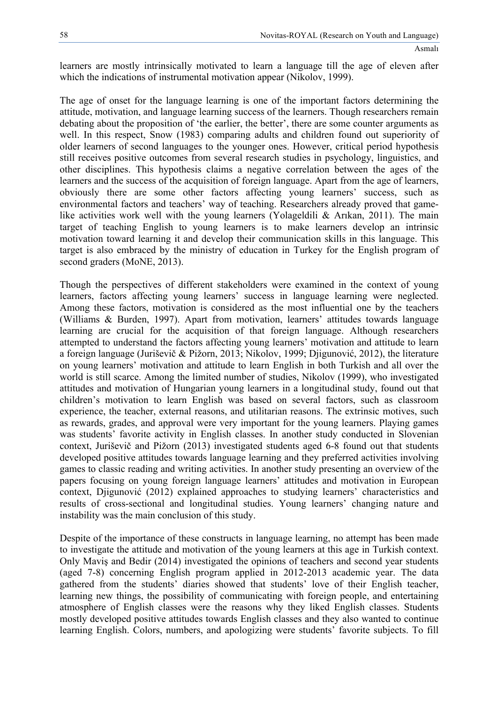learners are mostly intrinsically motivated to learn a language till the age of eleven after which the indications of instrumental motivation appear (Nikolov, 1999).

The age of onset for the language learning is one of the important factors determining the attitude, motivation, and language learning success of the learners. Though researchers remain debating about the proposition of 'the earlier, the better', there are some counter arguments as well. In this respect, Snow (1983) comparing adults and children found out superiority of older learners of second languages to the younger ones. However, critical period hypothesis still receives positive outcomes from several research studies in psychology, linguistics, and other disciplines. This hypothesis claims a negative correlation between the ages of the learners and the success of the acquisition of foreign language. Apart from the age of learners, obviously there are some other factors affecting young learners' success, such as environmental factors and teachers' way of teaching. Researchers already proved that gamelike activities work well with the young learners (Yolageldili & Arıkan, 2011). The main target of teaching English to young learners is to make learners develop an intrinsic motivation toward learning it and develop their communication skills in this language. This target is also embraced by the ministry of education in Turkey for the English program of second graders (MoNE, 2013).

Though the perspectives of different stakeholders were examined in the context of young learners, factors affecting young learners' success in language learning were neglected. Among these factors, motivation is considered as the most influential one by the teachers (Williams & Burden, 1997). Apart from motivation, learners' attitudes towards language learning are crucial for the acquisition of that foreign language. Although researchers attempted to understand the factors affecting young learners' motivation and attitude to learn a foreign language (Juriševič & Pižorn, 2013; Nikolov, 1999; Djigunović, 2012), the literature on young learners' motivation and attitude to learn English in both Turkish and all over the world is still scarce. Among the limited number of studies, Nikolov (1999), who investigated attitudes and motivation of Hungarian young learners in a longitudinal study, found out that children's motivation to learn English was based on several factors, such as classroom experience, the teacher, external reasons, and utilitarian reasons. The extrinsic motives, such as rewards, grades, and approval were very important for the young learners. Playing games was students' favorite activity in English classes. In another study conducted in Slovenian context, Juriševič and Pižorn (2013) investigated students aged 6-8 found out that students developed positive attitudes towards language learning and they preferred activities involving games to classic reading and writing activities. In another study presenting an overview of the papers focusing on young foreign language learners' attitudes and motivation in European context. Diigunović (2012) explained approaches to studying learners' characteristics and results of cross-sectional and longitudinal studies. Young learners' changing nature and instability was the main conclusion of this study.

Despite of the importance of these constructs in language learning, no attempt has been made to investigate the attitude and motivation of the young learners at this age in Turkish context. Only Maviş and Bedir (2014) investigated the opinions of teachers and second year students (aged 7-8) concerning English program applied in 2012-2013 academic year. The data gathered from the students' diaries showed that students' love of their English teacher, learning new things, the possibility of communicating with foreign people, and entertaining atmosphere of English classes were the reasons why they liked English classes. Students mostly developed positive attitudes towards English classes and they also wanted to continue learning English. Colors, numbers, and apologizing were students' favorite subjects. To fill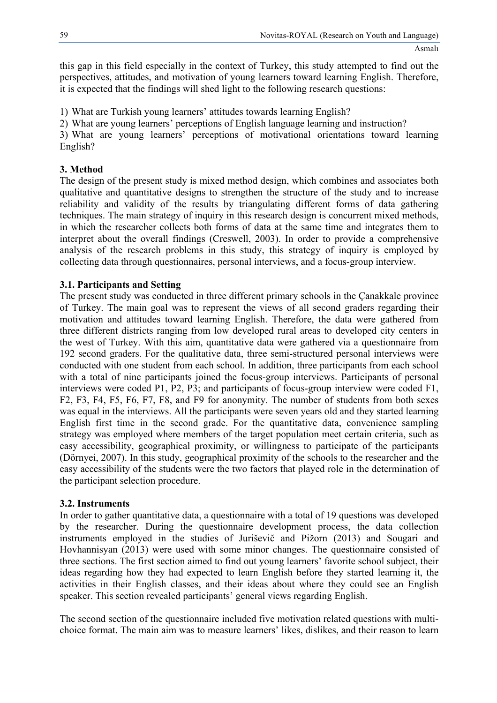this gap in this field especially in the context of Turkey, this study attempted to find out the perspectives, attitudes, and motivation of young learners toward learning English. Therefore, it is expected that the findings will shed light to the following research questions:

1) What are Turkish young learners' attitudes towards learning English?

2) What are young learners' perceptions of English language learning and instruction?

3) What are young learners' perceptions of motivational orientations toward learning English?

# **3. Method**

The design of the present study is mixed method design, which combines and associates both qualitative and quantitative designs to strengthen the structure of the study and to increase reliability and validity of the results by triangulating different forms of data gathering techniques. The main strategy of inquiry in this research design is concurrent mixed methods, in which the researcher collects both forms of data at the same time and integrates them to interpret about the overall findings (Creswell, 2003). In order to provide a comprehensive analysis of the research problems in this study, this strategy of inquiry is employed by collecting data through questionnaires, personal interviews, and a focus-group interview.

# **3.1. Participants and Setting**

The present study was conducted in three different primary schools in the Çanakkale province of Turkey. The main goal was to represent the views of all second graders regarding their motivation and attitudes toward learning English. Therefore, the data were gathered from three different districts ranging from low developed rural areas to developed city centers in the west of Turkey. With this aim, quantitative data were gathered via a questionnaire from 192 second graders. For the qualitative data, three semi-structured personal interviews were conducted with one student from each school. In addition, three participants from each school with a total of nine participants joined the focus-group interviews. Participants of personal interviews were coded P1, P2, P3; and participants of focus-group interview were coded F1, F2, F3, F4, F5, F6, F7, F8, and F9 for anonymity. The number of students from both sexes was equal in the interviews. All the participants were seven years old and they started learning English first time in the second grade. For the quantitative data, convenience sampling strategy was employed where members of the target population meet certain criteria, such as easy accessibility, geographical proximity, or willingness to participate of the participants (Dörnyei, 2007). In this study, geographical proximity of the schools to the researcher and the easy accessibility of the students were the two factors that played role in the determination of the participant selection procedure.

# **3.2. Instruments**

In order to gather quantitative data, a questionnaire with a total of 19 questions was developed by the researcher. During the questionnaire development process, the data collection instruments employed in the studies of Juriševič and Pižorn (2013) and Sougari and Hovhannisyan (2013) were used with some minor changes. The questionnaire consisted of three sections. The first section aimed to find out young learners' favorite school subject, their ideas regarding how they had expected to learn English before they started learning it, the activities in their English classes, and their ideas about where they could see an English speaker. This section revealed participants' general views regarding English.

The second section of the questionnaire included five motivation related questions with multichoice format. The main aim was to measure learners' likes, dislikes, and their reason to learn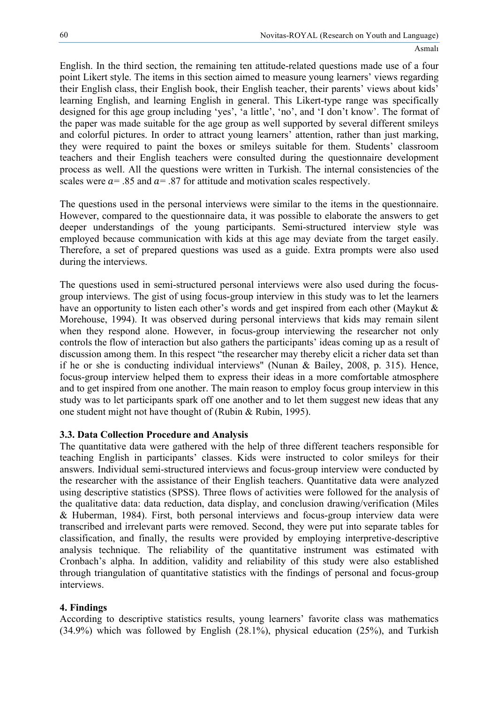English. In the third section, the remaining ten attitude-related questions made use of a four point Likert style. The items in this section aimed to measure young learners' views regarding their English class, their English book, their English teacher, their parents' views about kids' learning English, and learning English in general. This Likert-type range was specifically designed for this age group including 'yes', 'a little', 'no', and 'I don't know'. The format of the paper was made suitable for the age group as well supported by several different smileys and colorful pictures. In order to attract young learners' attention, rather than just marking, they were required to paint the boxes or smileys suitable for them. Students' classroom teachers and their English teachers were consulted during the questionnaire development process as well. All the questions were written in Turkish. The internal consistencies of the scales were  $a = 0.85$  and  $a = 0.87$  for attitude and motivation scales respectively.

The questions used in the personal interviews were similar to the items in the questionnaire. However, compared to the questionnaire data, it was possible to elaborate the answers to get deeper understandings of the young participants. Semi-structured interview style was employed because communication with kids at this age may deviate from the target easily. Therefore, a set of prepared questions was used as a guide. Extra prompts were also used during the interviews.

The questions used in semi-structured personal interviews were also used during the focusgroup interviews. The gist of using focus-group interview in this study was to let the learners have an opportunity to listen each other's words and get inspired from each other (Maykut & Morehouse, 1994). It was observed during personal interviews that kids may remain silent when they respond alone. However, in focus-group interviewing the researcher not only controls the flow of interaction but also gathers the participants' ideas coming up as a result of discussion among them. In this respect "the researcher may thereby elicit a richer data set than if he or she is conducting individual interviews" (Nunan & Bailey, 2008, p. 315). Hence, focus-group interview helped them to express their ideas in a more comfortable atmosphere and to get inspired from one another. The main reason to employ focus group interview in this study was to let participants spark off one another and to let them suggest new ideas that any one student might not have thought of (Rubin & Rubin, 1995).

# **3.3. Data Collection Procedure and Analysis**

The quantitative data were gathered with the help of three different teachers responsible for teaching English in participants' classes. Kids were instructed to color smileys for their answers. Individual semi-structured interviews and focus-group interview were conducted by the researcher with the assistance of their English teachers. Quantitative data were analyzed using descriptive statistics (SPSS). Three flows of activities were followed for the analysis of the qualitative data: data reduction, data display, and conclusion drawing/verification (Miles & Huberman, 1984). First, both personal interviews and focus-group interview data were transcribed and irrelevant parts were removed. Second, they were put into separate tables for classification, and finally, the results were provided by employing interpretive-descriptive analysis technique. The reliability of the quantitative instrument was estimated with Cronbach's alpha. In addition, validity and reliability of this study were also established through triangulation of quantitative statistics with the findings of personal and focus-group interviews.

# **4. Findings**

According to descriptive statistics results, young learners' favorite class was mathematics (34.9%) which was followed by English (28.1%), physical education (25%), and Turkish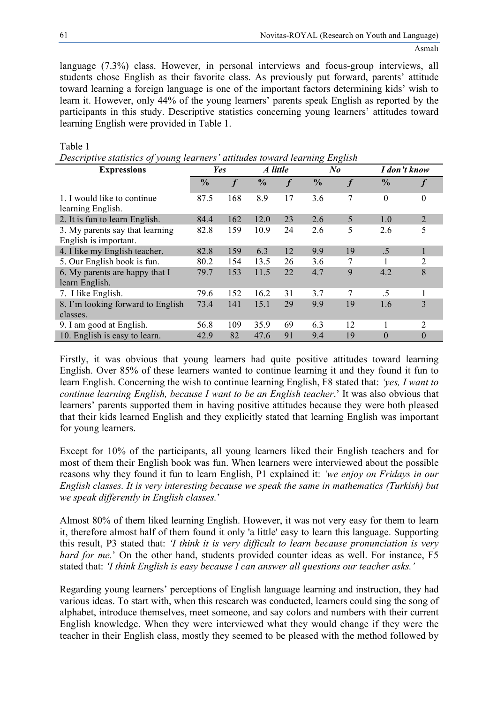language (7.3%) class. However, in personal interviews and focus-group interviews, all students chose English as their favorite class. As previously put forward, parents' attitude toward learning a foreign language is one of the important factors determining kids' wish to learn it. However, only 44% of the young learners' parents speak English as reported by the participants in this study. Descriptive statistics concerning young learners' attitudes toward learning English were provided in Table 1.

| Descriptive statistics of young tearners attitudes toward tearning English |                 |                  |               |                  |               |                  |               |          |
|----------------------------------------------------------------------------|-----------------|------------------|---------------|------------------|---------------|------------------|---------------|----------|
| <b>Expressions</b>                                                         | Yes<br>A little |                  | No            |                  | I don't know  |                  |               |          |
|                                                                            | $\frac{6}{9}$   | $\boldsymbol{f}$ | $\frac{0}{0}$ | $\boldsymbol{f}$ | $\frac{0}{0}$ | $\boldsymbol{f}$ | $\frac{0}{0}$ |          |
| 1. I would like to continue<br>learning English.                           | 87.5            | 168              | 8.9           | 17               | 3.6           | 7                | $\theta$      | $\Omega$ |
| 2. It is fun to learn English.                                             | 84.4            | 162              | 12.0          | 23               | 2.6           | 5                | 1.0           | 2        |
| 3. My parents say that learning<br>English is important.                   | 82.8            | 159              | 10.9          | 24               | 2.6           | 5                | 2.6           | 5        |
| 4. I like my English teacher.                                              | 82.8            | 159              | 6.3           | 12               | 9.9           | 19               | .5            |          |
| 5. Our English book is fun.                                                | 80.2            | 154              | 13.5          | 26               | 3.6           | 7                |               | 2        |
| 6. My parents are happy that I<br>learn English.                           | 79.7            | 153              | 11.5          | 22               | 4.7           | 9                | 4.2           | 8        |
| 7. I like English.                                                         | 79.6            | 152              | 16.2          | 31               | 3.7           | 7                | .5            |          |
| 8. I'm looking forward to English<br>classes.                              | 73.4            | 141              | 15.1          | 29               | 9.9           | 19               | 1.6           | 3        |
| 9. I am good at English.                                                   | 56.8            | 109              | 35.9          | 69               | 6.3           | 12               |               | 2        |
| 10. English is easy to learn.                                              | 42.9            | 82               | 47.6          | 91               | 9.4           | 19               | $\theta$      | $\theta$ |

# Table 1

*Descriptive statistics of young learners' attitudes toward learning English*

Firstly, it was obvious that young learners had quite positive attitudes toward learning English. Over 85% of these learners wanted to continue learning it and they found it fun to learn English. Concerning the wish to continue learning English, F8 stated that: *'yes, I want to continue learning English, because I want to be an English teacher*.' It was also obvious that learners' parents supported them in having positive attitudes because they were both pleased that their kids learned English and they explicitly stated that learning English was important for young learners.

Except for 10% of the participants, all young learners liked their English teachers and for most of them their English book was fun. When learners were interviewed about the possible reasons why they found it fun to learn English, P1 explained it: *'we enjoy on Fridays in our English classes. It is very interesting because we speak the same in mathematics (Turkish) but we speak differently in English classes.*'

Almost 80% of them liked learning English. However, it was not very easy for them to learn it, therefore almost half of them found it only 'a little' easy to learn this language. Supporting this result, P3 stated that: *'I think it is very difficult to learn because pronunciation is very hard for me.*' On the other hand, students provided counter ideas as well. For instance, F5 stated that: *'I think English is easy because I can answer all questions our teacher asks.'*

Regarding young learners' perceptions of English language learning and instruction, they had various ideas. To start with, when this research was conducted, learners could sing the song of alphabet, introduce themselves, meet someone, and say colors and numbers with their current English knowledge. When they were interviewed what they would change if they were the teacher in their English class, mostly they seemed to be pleased with the method followed by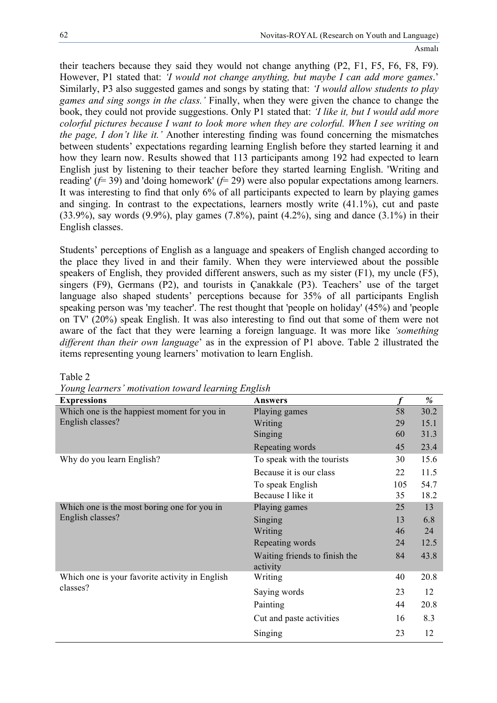their teachers because they said they would not change anything (P2, F1, F5, F6, F8, F9). However, P1 stated that: *'I would not change anything, but maybe I can add more games*.' Similarly, P3 also suggested games and songs by stating that: *'I would allow students to play games and sing songs in the class.'* Finally, when they were given the chance to change the book, they could not provide suggestions. Only P1 stated that: *'I like it, but I would add more colorful pictures because I want to look more when they are colorful. When I see writing on the page, I don't like it.'* Another interesting finding was found concerning the mismatches between students' expectations regarding learning English before they started learning it and how they learn now. Results showed that 113 participants among 192 had expected to learn English just by listening to their teacher before they started learning English. 'Writing and reading' (*f*= 39) and 'doing homework' (*f*= 29) were also popular expectations among learners. It was interesting to find that only 6% of all participants expected to learn by playing games and singing. In contrast to the expectations, learners mostly write (41.1%), cut and paste  $(33.9\%)$ , say words  $(9.9\%)$ , play games  $(7.8\%)$ , paint  $(4.2\%)$ , sing and dance  $(3.1\%)$  in their English classes.

Students' perceptions of English as a language and speakers of English changed according to the place they lived in and their family. When they were interviewed about the possible speakers of English, they provided different answers, such as my sister (F1), my uncle (F5), singers (F9), Germans (P2), and tourists in Çanakkale (P3). Teachers' use of the target language also shaped students' perceptions because for 35% of all participants English speaking person was 'my teacher'. The rest thought that 'people on holiday' (45%) and 'people on TV' (20%) speak English. It was also interesting to find out that some of them were not aware of the fact that they were learning a foreign language. It was more like *'something different than their own language*' as in the expression of P1 above. Table 2 illustrated the items representing young learners' motivation to learn English.

| <b>Expressions</b>                                              | <b>Answers</b>                            |     | %    |
|-----------------------------------------------------------------|-------------------------------------------|-----|------|
| Which one is the happiest moment for you in                     | Playing games                             | 58  | 30.2 |
| English classes?                                                | Writing                                   | 29  | 15.1 |
|                                                                 | Singing                                   | 60  | 31.3 |
|                                                                 | Repeating words                           | 45  | 23.4 |
| Why do you learn English?                                       | To speak with the tourists                | 30  | 15.6 |
|                                                                 | Because it is our class                   | 22  | 11.5 |
|                                                                 | To speak English                          | 105 | 54.7 |
|                                                                 | Because I like it                         | 35  | 18.2 |
| Which one is the most boring one for you in<br>English classes? | Playing games                             | 25  | 13   |
|                                                                 | Singing                                   | 13  | 6.8  |
|                                                                 | Writing                                   | 46  | 24   |
|                                                                 | Repeating words                           | 24  | 12.5 |
|                                                                 | Waiting friends to finish the<br>activity | 84  | 43.8 |
| Which one is your favorite activity in English<br>classes?      | Writing                                   | 40  | 20.8 |
|                                                                 | Saying words                              | 23  | 12   |
|                                                                 | Painting                                  | 44  | 20.8 |
|                                                                 | Cut and paste activities                  | 16  | 8.3  |
|                                                                 | Singing                                   | 23  | 12   |

Table 2

*Young learners' motivation toward learning English*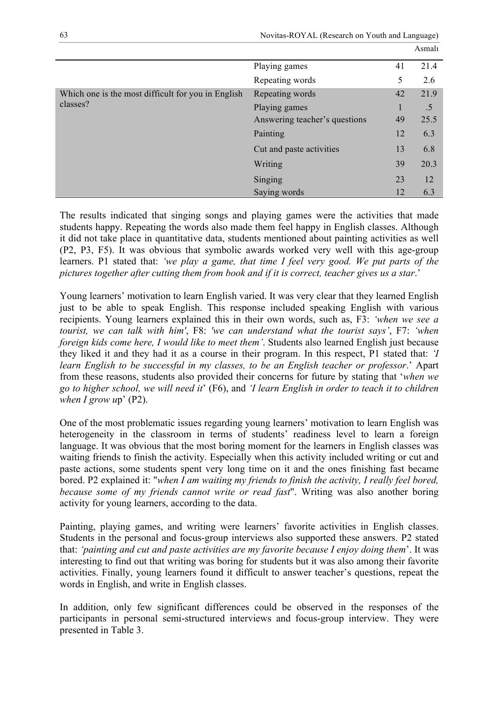|                                                                |                               |    | Asmalı |
|----------------------------------------------------------------|-------------------------------|----|--------|
|                                                                | Playing games                 | 41 | 21.4   |
|                                                                | Repeating words               | 5  | 2.6    |
| Which one is the most difficult for you in English<br>classes? | Repeating words               | 42 | 21.9   |
|                                                                | Playing games                 | 1  | .5     |
|                                                                | Answering teacher's questions | 49 | 25.5   |
|                                                                | Painting                      | 12 | 6.3    |
|                                                                | Cut and paste activities      | 13 | 6.8    |
|                                                                | Writing                       | 39 | 20.3   |
|                                                                | Singing                       | 23 | 12     |
|                                                                | Saying words                  | 12 | 6.3    |

Novitas-ROYAL (Research on Youth and Language)

The results indicated that singing songs and playing games were the activities that made students happy. Repeating the words also made them feel happy in English classes. Although it did not take place in quantitative data, students mentioned about painting activities as well (P2, P3, F5). It was obvious that symbolic awards worked very well with this age-group learners. P1 stated that: *'we play a game, that time I feel very good. We put parts of the pictures together after cutting them from book and if it is correct, teacher gives us a star*.'

Young learners' motivation to learn English varied. It was very clear that they learned English just to be able to speak English. This response included speaking English with various recipients. Young learners explained this in their own words, such as, F3: *'when we see a tourist, we can talk with him'*, F8: *'we can understand what the tourist says'*, F7: *'when foreign kids come here, I would like to meet them'*. Students also learned English just because they liked it and they had it as a course in their program. In this respect, P1 stated that: *'I learn English to be successful in my classes, to be an English teacher or professor*.' Apart from these reasons, students also provided their concerns for future by stating that '*when we go to higher school, we will need it*' (F6), and *'I learn English in order to teach it to children when I grow u*p' (P2).

One of the most problematic issues regarding young learners' motivation to learn English was heterogeneity in the classroom in terms of students' readiness level to learn a foreign language. It was obvious that the most boring moment for the learners in English classes was waiting friends to finish the activity. Especially when this activity included writing or cut and paste actions, some students spent very long time on it and the ones finishing fast became bored. P2 explained it: "*when I am waiting my friends to finish the activity, I really feel bored, because some of my friends cannot write or read fast*". Writing was also another boring activity for young learners, according to the data.

Painting, playing games, and writing were learners' favorite activities in English classes. Students in the personal and focus-group interviews also supported these answers. P2 stated that: *'painting and cut and paste activities are my favorite because I enjoy doing them*'. It was interesting to find out that writing was boring for students but it was also among their favorite activities. Finally, young learners found it difficult to answer teacher's questions, repeat the words in English, and write in English classes.

In addition, only few significant differences could be observed in the responses of the participants in personal semi-structured interviews and focus-group interview. They were presented in Table 3.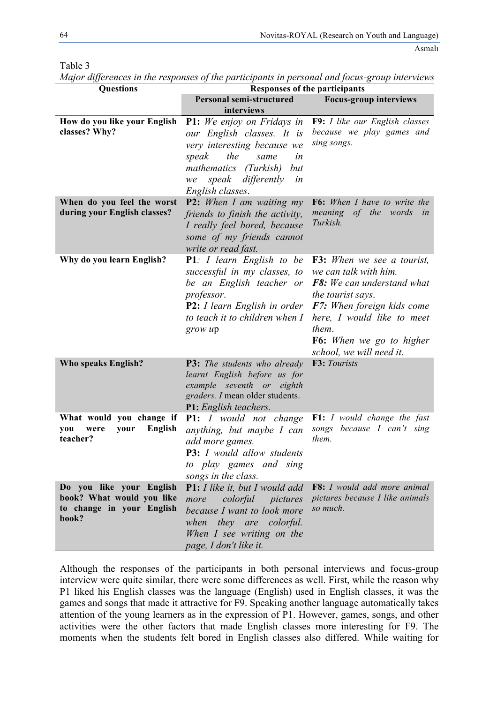| <b>Questions</b>                                                                            | <b>Responses of the participants</b>                                                                                                                                                                              |                                                                                                                                                                                                                                                          |  |
|---------------------------------------------------------------------------------------------|-------------------------------------------------------------------------------------------------------------------------------------------------------------------------------------------------------------------|----------------------------------------------------------------------------------------------------------------------------------------------------------------------------------------------------------------------------------------------------------|--|
|                                                                                             | <b>Personal semi-structured</b>                                                                                                                                                                                   | <b>Focus-group interviews</b>                                                                                                                                                                                                                            |  |
|                                                                                             | interviews                                                                                                                                                                                                        |                                                                                                                                                                                                                                                          |  |
| How do you like your English<br>classes? Why?                                               | <b>P1:</b> We enjoy on Fridays in<br>our English classes. It is<br>very interesting because we<br>speak<br>the<br>same<br>in<br>mathematics (Turkish)<br>but<br>speak differently<br>in<br>we<br>English classes. | F9: I like our English classes<br>because we play games and<br>sing songs.                                                                                                                                                                               |  |
| When do you feel the worst<br>during your English classes?                                  | <b>P2:</b> When I am waiting $my$<br>friends to finish the activity,<br>I really feel bored, because<br>some of my friends cannot<br>write or read fast.                                                          | F6: When I have to write the<br>meaning of the words<br>in<br>Turkish.                                                                                                                                                                                   |  |
| Why do you learn English?                                                                   | <b>P1</b> : <i>I</i> learn English to be<br>successful in my classes, to<br>be an English teacher or<br>professor.<br><b>P2:</b> <i>I learn English in order</i><br>to teach it to children when I<br>grow up     | <b>F3:</b> When we see a tourist,<br>we can talk with him.<br>F8: We can understand what<br><i>the tourist says.</i><br>F7: When foreign kids come<br>here, I would like to meet<br>them.<br><b>F6:</b> When we go to higher<br>school, we will need it. |  |
| Who speaks English?                                                                         | <b>P3:</b> The students who already<br>learnt English before us for<br>example seventh or eighth<br>graders. I mean older students.<br>P1: English teachers.                                                      | F3: Tourists                                                                                                                                                                                                                                             |  |
| What would you change if<br><b>English</b><br>you<br>were<br>your<br>teacher?               | <b>P1:</b> <i>I</i> would not change<br>anything, but maybe I can<br>add more games.<br><b>P3:</b> I would allow students<br>to play games and sing<br>songs in the class.                                        | <b>F1:</b> I would change the fast<br>songs because I can't sing<br>them.                                                                                                                                                                                |  |
| Do you like your English<br>book? What would you like<br>to change in your English<br>book? | <b>P1:</b> I like it, but I would add<br>colorful pictures<br>more<br>because I want to look more<br>they are colorful.<br>when<br>When I see writing on the<br>page, I don't like it.                            | F8: I would add more animal<br>pictures because I like animals<br>so much.                                                                                                                                                                               |  |

Table 3

*Major differences in the responses of the participants in personal and focus-group interviews* 

Although the responses of the participants in both personal interviews and focus-group interview were quite similar, there were some differences as well. First, while the reason why P1 liked his English classes was the language (English) used in English classes, it was the games and songs that made it attractive for F9. Speaking another language automatically takes attention of the young learners as in the expression of P1. However, games, songs, and other activities were the other factors that made English classes more interesting for F9. The moments when the students felt bored in English classes also differed. While waiting for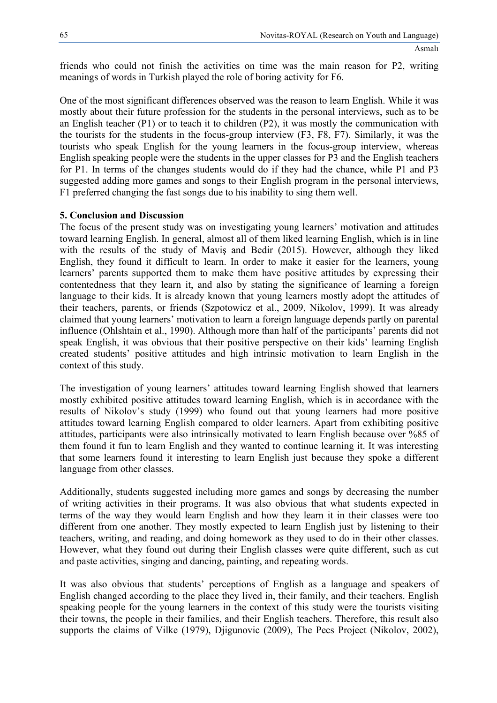friends who could not finish the activities on time was the main reason for P2, writing meanings of words in Turkish played the role of boring activity for F6.

One of the most significant differences observed was the reason to learn English. While it was mostly about their future profession for the students in the personal interviews, such as to be an English teacher (P1) or to teach it to children (P2), it was mostly the communication with the tourists for the students in the focus-group interview (F3, F8, F7). Similarly, it was the tourists who speak English for the young learners in the focus-group interview, whereas English speaking people were the students in the upper classes for P3 and the English teachers for P1. In terms of the changes students would do if they had the chance, while P1 and P3 suggested adding more games and songs to their English program in the personal interviews, F1 preferred changing the fast songs due to his inability to sing them well.

#### **5. Conclusion and Discussion**

The focus of the present study was on investigating young learners' motivation and attitudes toward learning English. In general, almost all of them liked learning English, which is in line with the results of the study of Maviş and Bedir (2015). However, although they liked English, they found it difficult to learn. In order to make it easier for the learners, young learners' parents supported them to make them have positive attitudes by expressing their contentedness that they learn it, and also by stating the significance of learning a foreign language to their kids. It is already known that young learners mostly adopt the attitudes of their teachers, parents, or friends (Szpotowicz et al., 2009, Nikolov, 1999). It was already claimed that young learners' motivation to learn a foreign language depends partly on parental influence (Ohlshtain et al., 1990). Although more than half of the participants' parents did not speak English, it was obvious that their positive perspective on their kids' learning English created students' positive attitudes and high intrinsic motivation to learn English in the context of this study.

The investigation of young learners' attitudes toward learning English showed that learners mostly exhibited positive attitudes toward learning English, which is in accordance with the results of Nikolov's study (1999) who found out that young learners had more positive attitudes toward learning English compared to older learners. Apart from exhibiting positive attitudes, participants were also intrinsically motivated to learn English because over %85 of them found it fun to learn English and they wanted to continue learning it. It was interesting that some learners found it interesting to learn English just because they spoke a different language from other classes.

Additionally, students suggested including more games and songs by decreasing the number of writing activities in their programs. It was also obvious that what students expected in terms of the way they would learn English and how they learn it in their classes were too different from one another. They mostly expected to learn English just by listening to their teachers, writing, and reading, and doing homework as they used to do in their other classes. However, what they found out during their English classes were quite different, such as cut and paste activities, singing and dancing, painting, and repeating words.

It was also obvious that students' perceptions of English as a language and speakers of English changed according to the place they lived in, their family, and their teachers. English speaking people for the young learners in the context of this study were the tourists visiting their towns, the people in their families, and their English teachers. Therefore, this result also supports the claims of Vilke (1979), Djigunovic (2009), The Pecs Project (Nikolov, 2002),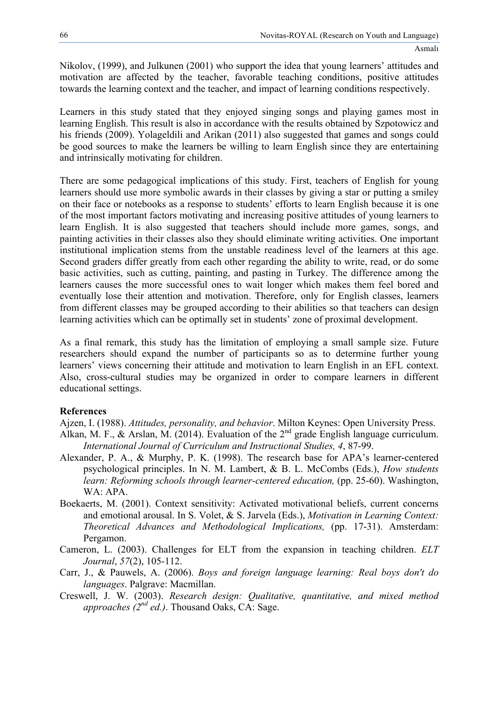Nikolov, (1999), and Julkunen (2001) who support the idea that young learners' attitudes and motivation are affected by the teacher, favorable teaching conditions, positive attitudes towards the learning context and the teacher, and impact of learning conditions respectively.

Learners in this study stated that they enjoyed singing songs and playing games most in learning English. This result is also in accordance with the results obtained by Szpotowicz and his friends (2009). Yolageldili and Arikan (2011) also suggested that games and songs could be good sources to make the learners be willing to learn English since they are entertaining and intrinsically motivating for children.

There are some pedagogical implications of this study. First, teachers of English for young learners should use more symbolic awards in their classes by giving a star or putting a smiley on their face or notebooks as a response to students' efforts to learn English because it is one of the most important factors motivating and increasing positive attitudes of young learners to learn English. It is also suggested that teachers should include more games, songs, and painting activities in their classes also they should eliminate writing activities. One important institutional implication stems from the unstable readiness level of the learners at this age. Second graders differ greatly from each other regarding the ability to write, read, or do some basic activities, such as cutting, painting, and pasting in Turkey. The difference among the learners causes the more successful ones to wait longer which makes them feel bored and eventually lose their attention and motivation. Therefore, only for English classes, learners from different classes may be grouped according to their abilities so that teachers can design learning activities which can be optimally set in students' zone of proximal development.

As a final remark, this study has the limitation of employing a small sample size. Future researchers should expand the number of participants so as to determine further young learners' views concerning their attitude and motivation to learn English in an EFL context. Also, cross-cultural studies may be organized in order to compare learners in different educational settings.

# **References**

Ajzen, I. (1988). *Attitudes, personality, and behavior*. Milton Keynes: Open University Press.

- Alkan, M. F., & Arslan, M. (2014). Evaluation of the 2<sup>nd</sup> grade English language curriculum. *International Journal of Curriculum and Instructional Studies, 4*, 87-99.
- Alexander, P. A., & Murphy, P. K. (1998). The research base for APA's learner-centered psychological principles. In N. M. Lambert, & B. L. McCombs (Eds.), *How students learn: Reforming schools through learner-centered education,* (pp. 25-60). Washington, WA: APA.
- Boekaerts, M. (2001). Context sensitivity: Activated motivational beliefs, current concerns and emotional arousal. In S. Volet, & S. Jarvela (Eds.), *Motivation in Learning Context: Theoretical Advances and Methodological Implications,* (pp. 17-31). Amsterdam: Pergamon.
- Cameron, L. (2003). Challenges for ELT from the expansion in teaching children. *ELT Journal*, *57*(2), 105-112.
- Carr, J., & Pauwels, A. (2006). *Boys and foreign language learning: Real boys don't do languages*. Palgrave: Macmillan.
- Creswell, J. W. (2003). *Research design: Qualitative, quantitative, and mixed method approaches (2nd ed.)*. Thousand Oaks, CA: Sage.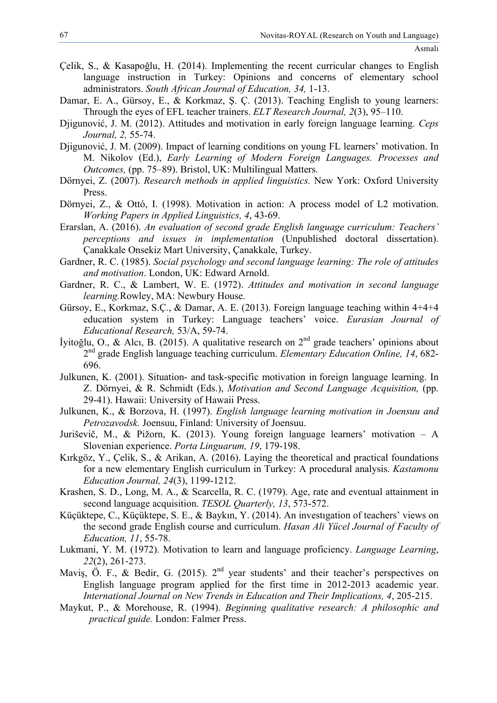- Çelik, S., & Kasapoğlu, H. (2014). Implementing the recent curricular changes to English language instruction in Turkey: Opinions and concerns of elementary school administrators. *South African Journal of Education, 34,* 1-13.
- Damar, E. A., Gürsoy, E., & Korkmaz, Ş. Ç. (2013). Teaching English to young learners: Through the eyes of EFL teacher trainers. *ELT Research Journal, 2*(3), 95–110.
- Djigunović, J. M. (2012). Attitudes and motivation in early foreign language learning. *Ceps Journal, 2,* 55-74.
- Djigunović, J. M. (2009). Impact of learning conditions on young FL learners' motivation. In M. Nikolov (Ed.), *Early Learning of Modern Foreign Languages. Processes and Outcomes,* (pp. 75–89). Bristol, UK: Multilingual Matters.
- Dörnyei, Z. (2007). *Research methods in applied linguistics.* New York: Oxford University Press.
- Dörnyei, Z., & Ottó, I. (1998). Motivation in action: A process model of L2 motivation. *Working Papers in Applied Linguistics, 4*, 43-69.
- Erarslan, A. (2016). *An evaluation of second grade English language curriculum: Teachers' perceptions and issues in implementation* (Unpublished doctoral dissertation). Çanakkale Onsekiz Mart University, Çanakkale, Turkey.
- Gardner, R. C. (1985). *Social psychology and second language learning: The role of attitudes and motivation*. London, UK: Edward Arnold.
- Gardner, R. C., & Lambert, W. E. (1972). *Attitudes and motivation in second language learning.*Rowley, MA: Newbury House.
- Gürsoy, E., Korkmaz, S.Ç., & Damar, A. E. (2013). Foreign language teaching within 4+4+4 education system in Turkey: Language teachers' voice. *Eurasian Journal of Educational Research,* 53/A, 59-74.
- İyitoğlu, O., & Alcı, B. (2015). A qualitative research on 2nd grade teachers' opinions about 2nd grade English language teaching curriculum. *Elementary Education Online, 14*, 682- 696.
- Julkunen, K. (2001). Situation- and task-specific motivation in foreign language learning. In Z. Dörnyei, & R. Schmidt (Eds.), *Motivation and Second Language Acquisition,* (pp. 29-41). Hawaii: University of Hawaii Press.
- Julkunen, K., & Borzova, H. (1997). *English language learning motivation in Joensuu and Petrozavodsk.* Joensuu, Finland: University of Joensuu.
- Juriševič, M., & Pižorn, K. (2013). Young foreign language learners' motivation A Slovenian experience. *Porta Linguarum, 19*, 179-198.
- Kırkgöz, Y., Çelik, S., & Arikan, A. (2016). Laying the theoretical and practical foundations for a new elementary English curriculum in Turkey: A procedural analysis. *Kastamonu Education Journal, 24*(3), 1199-1212.
- Krashen, S. D., Long, M. A., & Scarcella, R. C. (1979). Age, rate and eventual attainment in second language acquisition. *TESOL Quarterly, 13*, 573-572.
- Küçüktepe, C., Küçüktepe, S. E., & Baykın, Y. (2014). An investıgation of teachers' views on the second grade English course and curriculum. *Hasan Ali Yücel Journal of Faculty of Education, 11*, 55-78.
- Lukmani, Y. M. (1972). Motivation to learn and language proficiency. *Language Learning*, *22*(2), 261-273.
- Mavis,  $\ddot{\text{O}}$ . F., & Bedir, G. (2015). 2<sup>nd</sup> year students' and their teacher's perspectives on English language program applied for the first time in 2012-2013 academic year. *International Journal on New Trends in Education and Their Implications, 4*, 205-215.
- Maykut, P., & Morehouse, R. (1994). *Beginning qualitative research: A philosophic and practical guide.* London: Falmer Press.